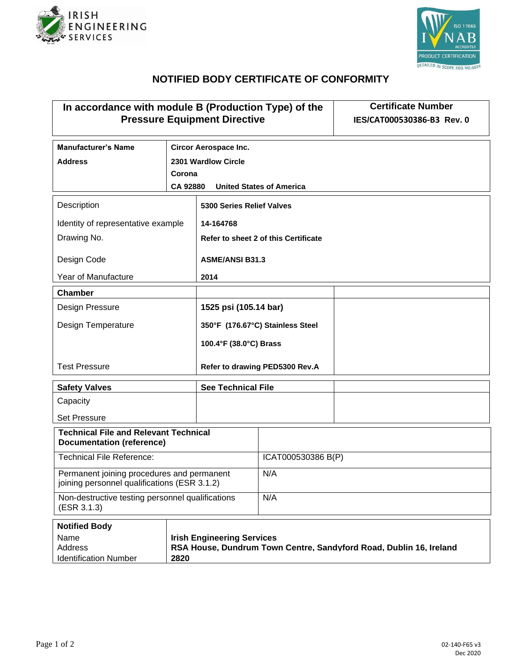



## **NOTIFIED BODY CERTIFICATE OF CONFORMITY**

| In accordance with module B (Production Type) of the<br><b>Pressure Equipment Directive</b> |                                                                                                                 |                                      |                                 | <b>Certificate Number</b><br>IES/CAT000530386-B3 Rev. 0 |  |  |
|---------------------------------------------------------------------------------------------|-----------------------------------------------------------------------------------------------------------------|--------------------------------------|---------------------------------|---------------------------------------------------------|--|--|
| <b>Manufacturer's Name</b>                                                                  |                                                                                                                 | <b>Circor Aerospace Inc.</b>         |                                 |                                                         |  |  |
| <b>Address</b>                                                                              |                                                                                                                 | 2301 Wardlow Circle                  |                                 |                                                         |  |  |
| Corona                                                                                      |                                                                                                                 |                                      |                                 |                                                         |  |  |
|                                                                                             | <b>CA 92880</b>                                                                                                 |                                      | <b>United States of America</b> |                                                         |  |  |
| Description                                                                                 |                                                                                                                 | 5300 Series Relief Valves            |                                 |                                                         |  |  |
| Identity of representative example                                                          |                                                                                                                 | 14-164768                            |                                 |                                                         |  |  |
| Drawing No.                                                                                 |                                                                                                                 | Refer to sheet 2 of this Certificate |                                 |                                                         |  |  |
| Design Code                                                                                 |                                                                                                                 | <b>ASME/ANSI B31.3</b>               |                                 |                                                         |  |  |
| Year of Manufacture                                                                         |                                                                                                                 | 2014                                 |                                 |                                                         |  |  |
| <b>Chamber</b>                                                                              |                                                                                                                 |                                      |                                 |                                                         |  |  |
| Design Pressure                                                                             |                                                                                                                 | 1525 psi (105.14 bar)                |                                 |                                                         |  |  |
| <b>Design Temperature</b>                                                                   |                                                                                                                 | 350°F (176.67°C) Stainless Steel     |                                 |                                                         |  |  |
|                                                                                             |                                                                                                                 | 100.4°F (38.0°C) Brass               |                                 |                                                         |  |  |
| <b>Test Pressure</b>                                                                        |                                                                                                                 | Refer to drawing PED5300 Rev.A       |                                 |                                                         |  |  |
| <b>Safety Valves</b>                                                                        |                                                                                                                 | <b>See Technical File</b>            |                                 |                                                         |  |  |
| Capacity                                                                                    |                                                                                                                 |                                      |                                 |                                                         |  |  |
| <b>Set Pressure</b>                                                                         |                                                                                                                 |                                      |                                 |                                                         |  |  |
| <b>Technical File and Relevant Technical</b><br><b>Documentation (reference)</b>            |                                                                                                                 |                                      |                                 |                                                         |  |  |
| <b>Technical File Reference:</b>                                                            |                                                                                                                 | ICAT000530386 B(P)                   |                                 |                                                         |  |  |
| Permanent joining procedures and permanent<br>joining personnel qualifications (ESR 3.1.2)  |                                                                                                                 | N/A                                  |                                 |                                                         |  |  |
| Non-destructive testing personnel qualifications<br>(ESR 3.1.3)                             |                                                                                                                 |                                      | N/A                             |                                                         |  |  |
| <b>Notified Body</b>                                                                        |                                                                                                                 |                                      |                                 |                                                         |  |  |
| Name<br>Address<br><b>Identification Number</b>                                             | <b>Irish Engineering Services</b><br>RSA House, Dundrum Town Centre, Sandyford Road, Dublin 16, Ireland<br>2820 |                                      |                                 |                                                         |  |  |